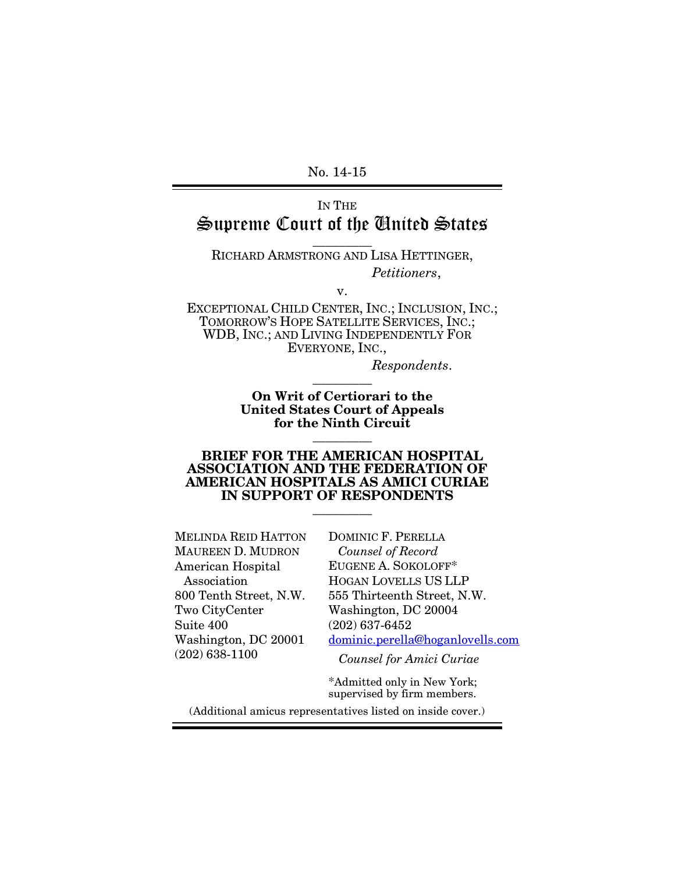<span id="page-0-0"></span>No. 14-15

# IN THE Supreme Court of the United States

### \_\_\_\_\_\_\_\_\_ RICHARD ARMSTRONG AND LISA HETTINGER, *Petitioners*,

v.

EXCEPTIONAL CHILD CENTER, INC.; INCLUSION, INC.; TOMORROW'S HOPE SATELLITE SERVICES, INC.; WDB, INC.; AND LIVING INDEPENDENTLY FOR EVERYONE, INC.,

> *Respondents*. \_\_\_\_\_\_\_\_\_

**On Writ of Certiorari to the United States Court of Appeals for the Ninth Circuit** \_\_\_\_\_\_\_\_\_

#### **BRIEF FOR THE AMERICAN HOSPITAL ASSOCIATION AND THE FEDERATION OF AMERICAN HOSPITALS AS AMICI CURIAE IN SUPPORT OF RESPONDENTS**

\_\_\_\_\_\_\_\_\_

MELINDA REID HATTON MAUREEN D. MUDRON American Hospital Association 800 Tenth Street, N.W. Two CityCenter Suite 400 Washington, DC 20001 (202) 638-1100

DOMINIC F. PERELLA *Counsel of Record* EUGENE A. SOKOLOFF\* HOGAN LOVELLS US LLP 555 Thirteenth Street, N.W. Washington, DC 20004 (202) 637-6452 [dominic.perella@hoganlovells.com](mailto:dominic.perella@hoganlovells.com)

*Counsel for Amici Curiae*

\*Admitted only in New York; supervised by firm members.

(Additional amicus representatives listed on inside cover.)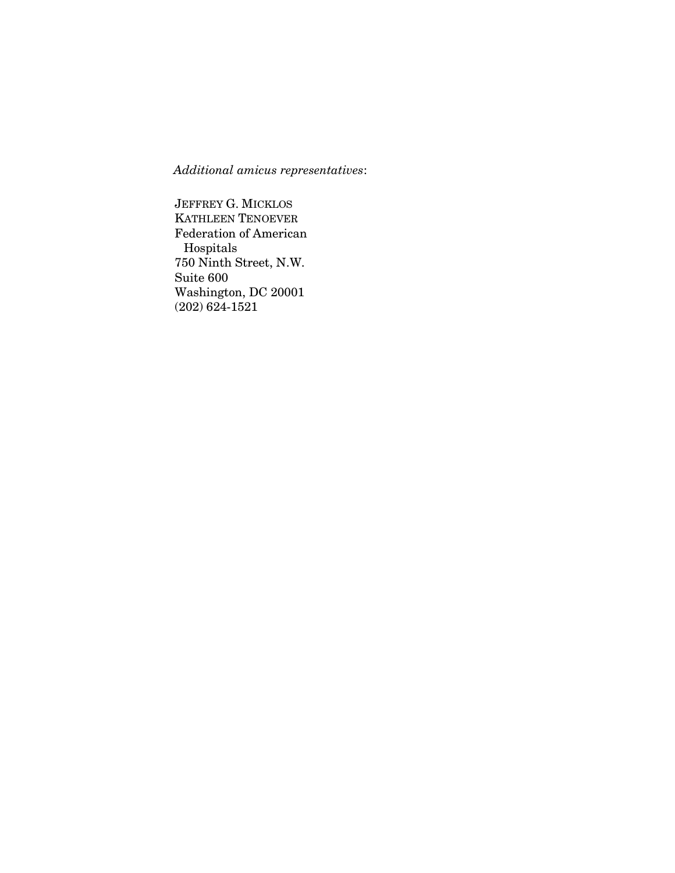*Additional amicus representatives*:

JEFFREY G. MICKLOS KATHLEEN TENOEVER Federation of American Hospitals 750 Ninth Street, N.W. Suite 600 Washington, DC 20001 (202) 624-1521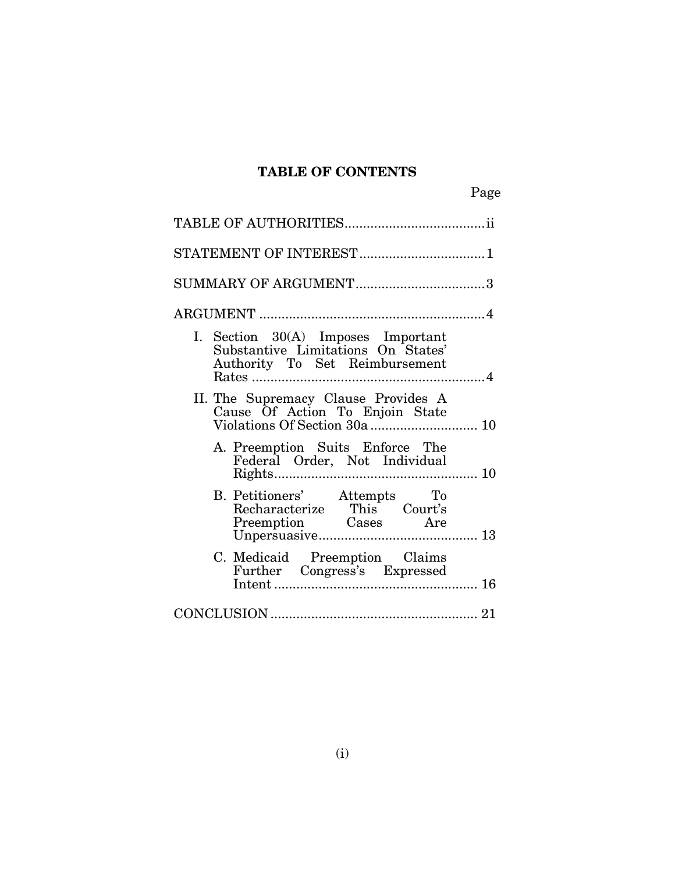## **TABLE OF CONTENTS**

| I. Section 30(A) Imposes Important<br>Substantive Limitations On States'<br>Authority To Set Reimbursement |  |
|------------------------------------------------------------------------------------------------------------|--|
| II. The Supremacy Clause Provides A<br>Cause Of Action To Enjoin State                                     |  |
| A. Preemption Suits Enforce The<br>Federal Order, Not Individual                                           |  |
| B. Petitioners' Attempts To<br>Recharacterize This Court's<br>Preemption Cases Are                         |  |
| C. Medicaid Preemption Claims<br>Further Congress's Expressed                                              |  |
|                                                                                                            |  |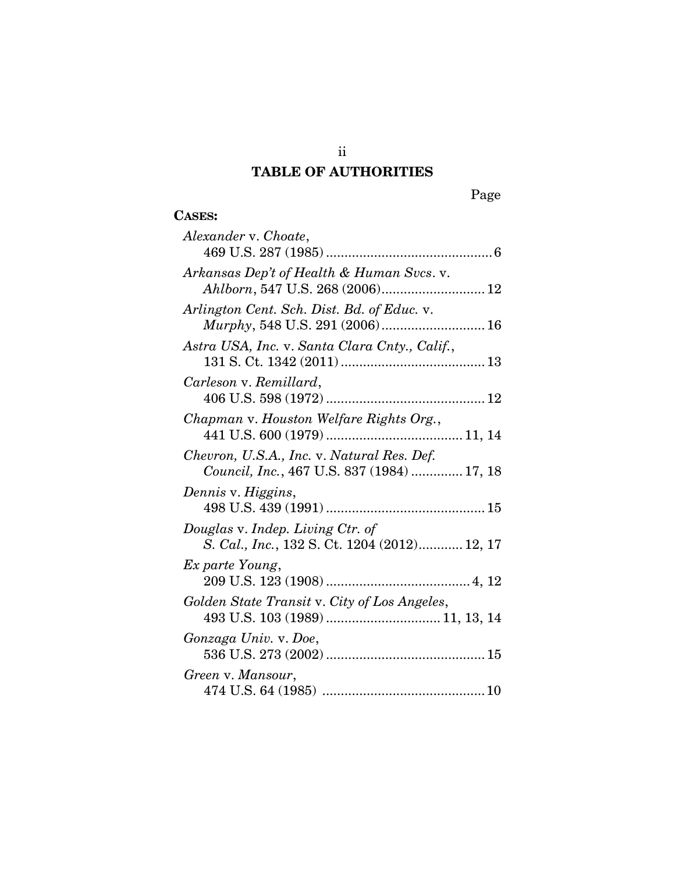# **TABLE OF AUTHORITIES**

ii

# **CASES:**

| Alexander v. Choate,                                                                     |
|------------------------------------------------------------------------------------------|
|                                                                                          |
| Arkansas Dep't of Health & Human Svcs. v.                                                |
| Arlington Cent. Sch. Dist. Bd. of Educ. v.<br>Murphy, 548 U.S. 291 (2006) 16             |
| Astra USA, Inc. v. Santa Clara Cnty., Calif.,                                            |
| Carleson v. Remillard,                                                                   |
| Chapman v. Houston Welfare Rights Org.,                                                  |
| Chevron, U.S.A., Inc. v. Natural Res. Def.<br>Council, Inc., 467 U.S. 837 (1984)  17, 18 |
| Dennis v. Higgins,                                                                       |
| Douglas v. Indep. Living Ctr. of<br>S. Cal., Inc., 132 S. Ct. 1204 (2012) 12, 17         |
| Ex parte Young,                                                                          |
| Golden State Transit v. City of Los Angeles,                                             |
| Gonzaga Univ. v. Doe,                                                                    |
| Green v. Mansour,                                                                        |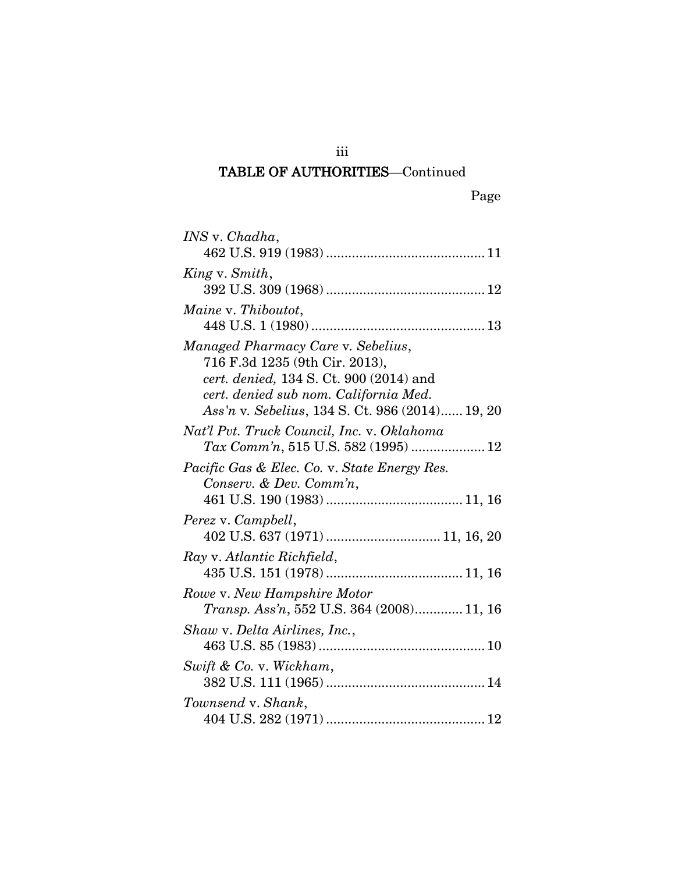# TABLE OF AUTHORITIES—Continued

iii

| <i>INS</i> v. <i>Chadha</i> ,                                                                                                                                                                               |
|-------------------------------------------------------------------------------------------------------------------------------------------------------------------------------------------------------------|
|                                                                                                                                                                                                             |
| King v. Smith,                                                                                                                                                                                              |
| Maine v. Thiboutot,                                                                                                                                                                                         |
| Managed Pharmacy Care v. Sebelius,<br>716 F.3d 1235 (9th Cir. 2013),<br>cert. denied, 134 S. Ct. 900 (2014) and<br>cert. denied sub nom. California Med.<br>Ass'n v. Sebelius, 134 S. Ct. 986 (2014) 19, 20 |
| Nat'l Pvt. Truck Council, Inc. v. Oklahoma<br>Tax Comm'n, 515 U.S. 582 (1995)  12                                                                                                                           |
| Pacific Gas & Elec. Co. v. State Energy Res.<br>Conserv. & Dev. Comm'n,                                                                                                                                     |
| Perez v. Campbell,<br>402 U.S. 637 (1971)  11, 16, 20                                                                                                                                                       |
| Ray v. Atlantic Richfield,                                                                                                                                                                                  |
| Rowe v. New Hampshire Motor<br>Transp. Ass'n, 552 U.S. 364 (2008) 11, 16                                                                                                                                    |
| Shaw v. Delta Airlines, Inc.,                                                                                                                                                                               |
| Swift & Co. v. Wickham,                                                                                                                                                                                     |
| Townsend v. Shank,                                                                                                                                                                                          |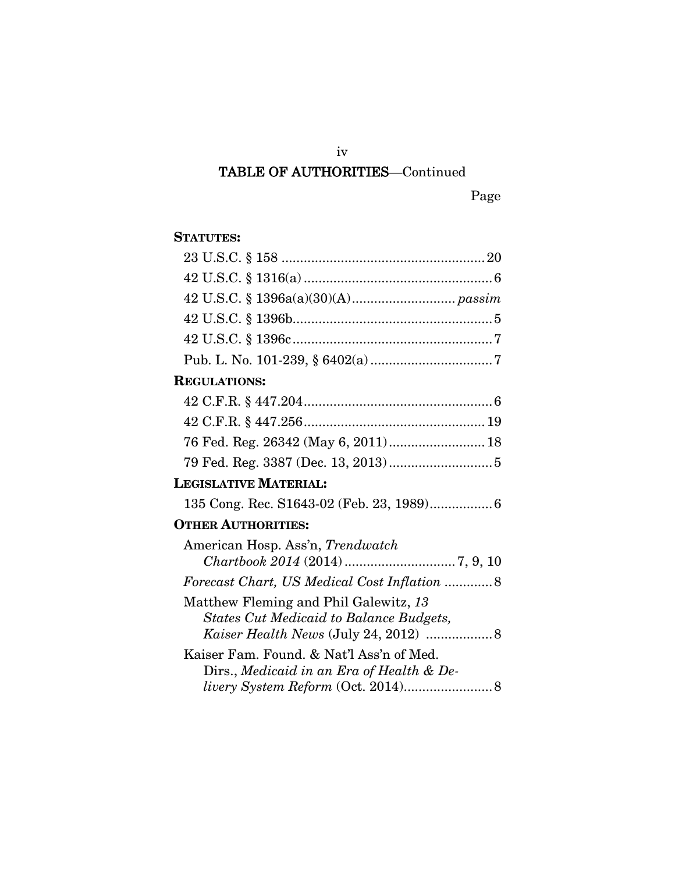# iv TABLE OF AUTHORITIES—Continued

## **STATUTES:**

| <b>REGULATIONS:</b>                                                                   |  |
|---------------------------------------------------------------------------------------|--|
|                                                                                       |  |
|                                                                                       |  |
| 76 Fed. Reg. 26342 (May 6, 2011) 18                                                   |  |
|                                                                                       |  |
| <b>LEGISLATIVE MATERIAL:</b>                                                          |  |
|                                                                                       |  |
| <b>OTHER AUTHORITIES:</b>                                                             |  |
| American Hosp. Ass'n, Trendwatch                                                      |  |
|                                                                                       |  |
| Forecast Chart, US Medical Cost Inflation  8                                          |  |
| Matthew Fleming and Phil Galewitz, 13                                                 |  |
| <b>States Cut Medicaid to Balance Budgets,</b>                                        |  |
| Kaiser Health News (July 24, 2012)  8                                                 |  |
| Kaiser Fam. Found. & Nat'l Ass'n of Med.<br>Dirs., Medicaid in an Era of Health & De- |  |
|                                                                                       |  |
|                                                                                       |  |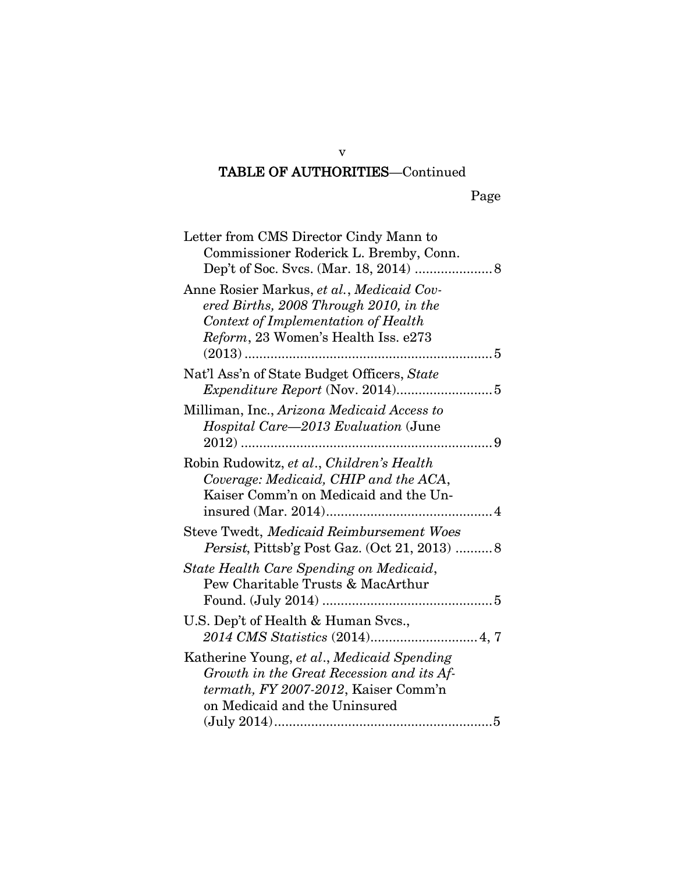# TABLE OF AUTHORITIES—Continued

| Letter from CMS Director Cindy Mann to<br>Commissioner Roderick L. Bremby, Conn.                                                                                  |
|-------------------------------------------------------------------------------------------------------------------------------------------------------------------|
| Anne Rosier Markus, et al., Medicaid Cov-<br>ered Births, 2008 Through 2010, in the<br>Context of Implementation of Health<br>Reform, 23 Women's Health Iss. e273 |
| Nat'l Ass'n of State Budget Officers, State                                                                                                                       |
| Milliman, Inc., Arizona Medicaid Access to<br>Hospital Care-2013 Evaluation (June                                                                                 |
| Robin Rudowitz, et al., Children's Health<br>Coverage: Medicaid, CHIP and the ACA,<br>Kaiser Comm'n on Medicaid and the Un-                                       |
| Steve Twedt, Medicaid Reimbursement Woes<br>Persist, Pittsb'g Post Gaz. (Oct 21, 2013)  8                                                                         |
| State Health Care Spending on Medicaid,<br>Pew Charitable Trusts & MacArthur                                                                                      |
| U.S. Dep't of Health & Human Svcs.,                                                                                                                               |
| Katherine Young, et al., Medicaid Spending<br>Growth in the Great Recession and its Af-<br>termath, FY 2007-2012, Kaiser Comm'n<br>on Medicaid and the Uninsured  |

v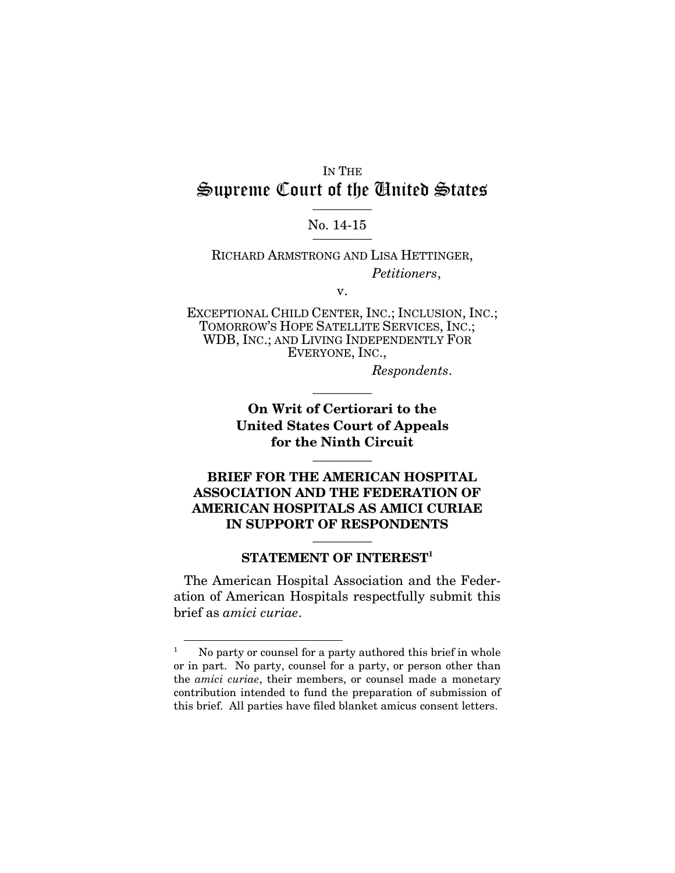## IN THE Supreme Court of the United States  $\frac{1}{2}$

# No. 14-15

RICHARD ARMSTRONG AND LISA HETTINGER, *Petitioners*,

v.

EXCEPTIONAL CHILD CENTER, INC.; INCLUSION, INC.; TOMORROW'S HOPE SATELLITE SERVICES, INC.; WDB, INC.; AND LIVING INDEPENDENTLY FOR EVERYONE, INC.,

*Respondents*.

**On Writ of Certiorari to the United States Court of Appeals for the Ninth Circuit** \_\_\_\_\_\_\_\_\_

\_\_\_\_\_\_\_\_\_

**BRIEF FOR THE AMERICAN HOSPITAL ASSOCIATION AND THE FEDERATION OF AMERICAN HOSPITALS AS AMICI CURIAE IN SUPPORT OF RESPONDENTS** \_\_\_\_\_\_\_\_\_

### **STATEMENT OF INTEREST[1](#page-7-0)**

The American Hospital Association and the Federation of American Hospitals respectfully submit this brief as *amici curiae*.

<span id="page-7-0"></span> $1$  No party or counsel for a party authored this brief in whole or in part. No party, counsel for a party, or person other than the *amici curiae*, their members, or counsel made a monetary contribution intended to fund the preparation of submission of this brief. All parties have filed blanket amicus consent letters.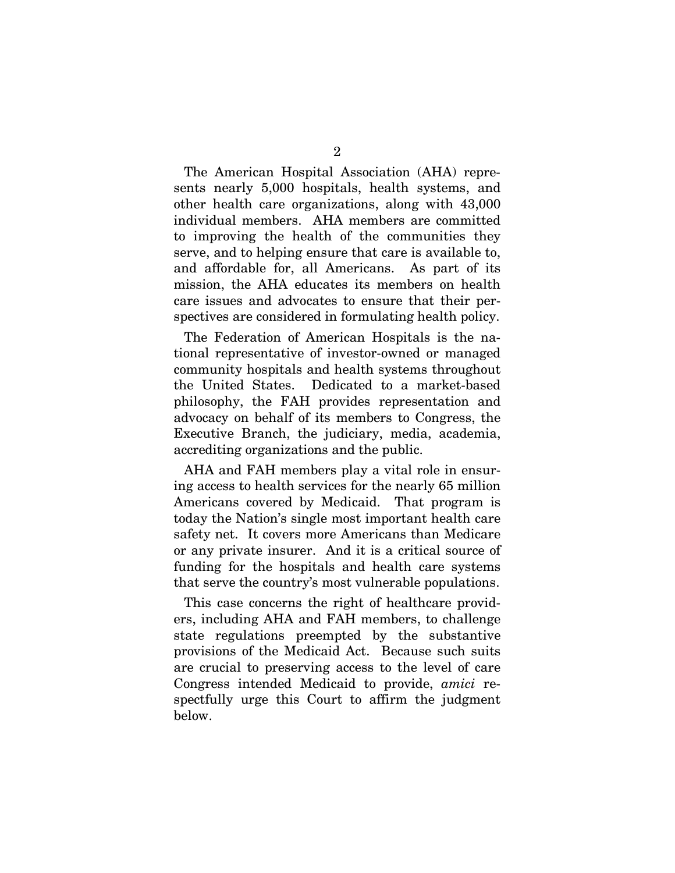The American Hospital Association (AHA) represents nearly 5,000 hospitals, health systems, and other health care organizations, along with 43,000 individual members. AHA members are committed to improving the health of the communities they serve, and to helping ensure that care is available to, and affordable for, all Americans. As part of its mission, the AHA educates its members on health care issues and advocates to ensure that their perspectives are considered in formulating health policy.

The Federation of American Hospitals is the national representative of investor-owned or managed community hospitals and health systems throughout the United States. Dedicated to a market-based philosophy, the FAH provides representation and advocacy on behalf of its members to Congress, the Executive Branch, the judiciary, media, academia, accrediting organizations and the public.

AHA and FAH members play a vital role in ensuring access to health services for the nearly 65 million Americans covered by Medicaid. That program is today the Nation's single most important health care safety net. It covers more Americans than Medicare or any private insurer. And it is a critical source of funding for the hospitals and health care systems that serve the country's most vulnerable populations.

This case concerns the right of healthcare providers, including AHA and FAH members, to challenge state regulations preempted by the substantive provisions of the Medicaid Act. Because such suits are crucial to preserving access to the level of care Congress intended Medicaid to provide, *amici* respectfully urge this Court to affirm the judgment below.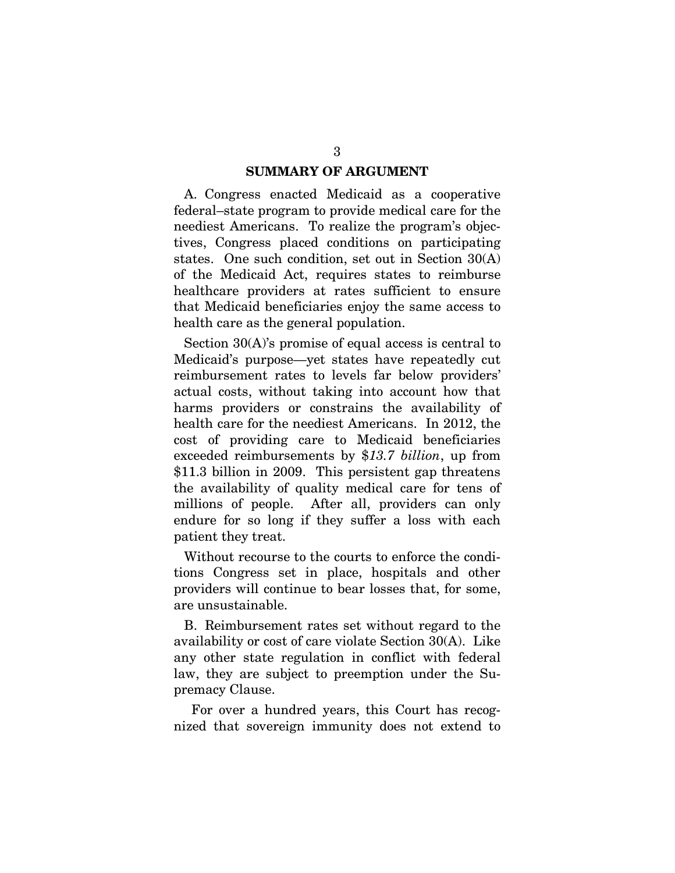### **SUMMARY OF ARGUMENT**

A. Congress enacted Medicaid as a cooperative federal–state program to provide medical care for the neediest Americans. To realize the program's objectives, Congress placed conditions on participating states. One such condition, set out in Section 30(A) of the Medicaid Act, requires states to reimburse healthcare providers at rates sufficient to ensure that Medicaid beneficiaries enjoy the same access to health care as the general population.

Section 30(A)'s promise of equal access is central to Medicaid's purpose—yet states have repeatedly cut reimbursement rates to levels far below providers' actual costs, without taking into account how that harms providers or constrains the availability of health care for the neediest Americans. In 2012, the cost of providing care to Medicaid beneficiaries exceeded reimbursements by \$*13.7 billion*, up from \$11.3 billion in 2009. This persistent gap threatens the availability of quality medical care for tens of millions of people. After all, providers can only endure for so long if they suffer a loss with each patient they treat.

Without recourse to the courts to enforce the conditions Congress set in place, hospitals and other providers will continue to bear losses that, for some, are unsustainable.

B. Reimbursement rates set without regard to the availability or cost of care violate Section 30(A). Like any other state regulation in conflict with federal law, they are subject to preemption under the Supremacy Clause.

For over a hundred years, this Court has recognized that sovereign immunity does not extend to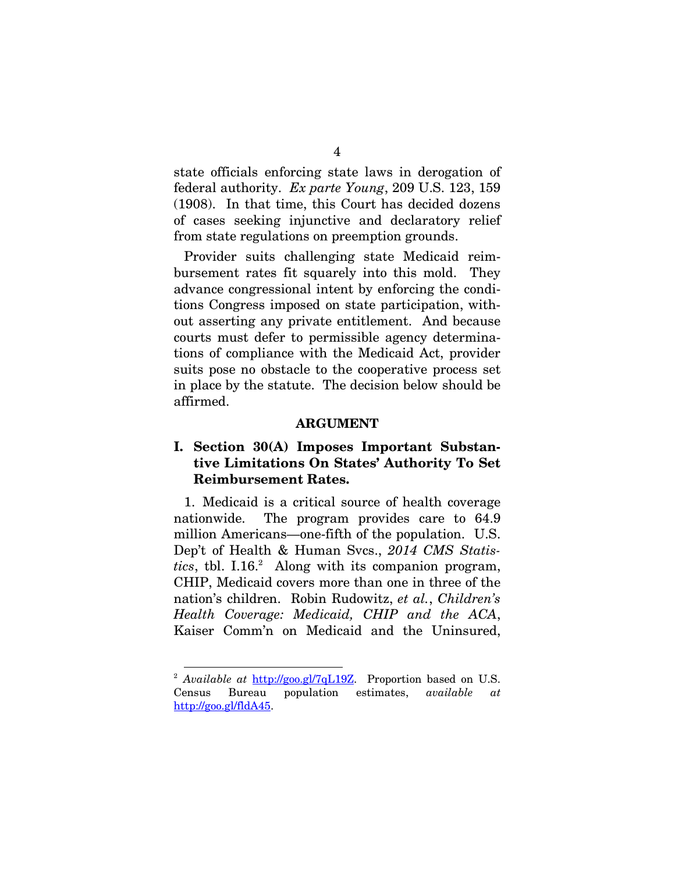state officials enforcing state laws in derogation of federal authority. *Ex parte Young*, 209 U.S. 123, 159 (1908). In that time, this Court has decided dozens of cases seeking injunctive and declaratory relief from state regulations on preemption grounds.

Provider suits challenging state Medicaid reimbursement rates fit squarely into this mold. They advance congressional intent by enforcing the conditions Congress imposed on state participation, without asserting any private entitlement. And because courts must defer to permissible agency determinations of compliance with the Medicaid Act, provider suits pose no obstacle to the cooperative process set in place by the statute. The decision below should be affirmed.

### **ARGUMENT**

## **I. Section 30(A) Imposes Important Substantive Limitations On States' Authority To Set Reimbursement Rates.**

1. Medicaid is a critical source of health coverage nationwide. The program provides care to 64.9 million Americans—one-fifth of the population. U.S. Dep't of Health & Human Svcs., *2014 CMS Statis* $tics$ , tbl. I.16.<sup>[2](#page-10-0)</sup> Along with its companion program, CHIP, Medicaid covers more than one in three of the nation's children. Robin Rudowitz, *et al.*, *Children's Health Coverage: Medicaid, CHIP and the ACA*, Kaiser Comm'n on Medicaid and the Uninsured,

<span id="page-10-0"></span><sup>&</sup>lt;sup>2</sup> *Available at* http://goo.gl/7qL19Z. Proportion based on U.S. Census Bureau population estimates, *available at* http://goo.gl/fldA45.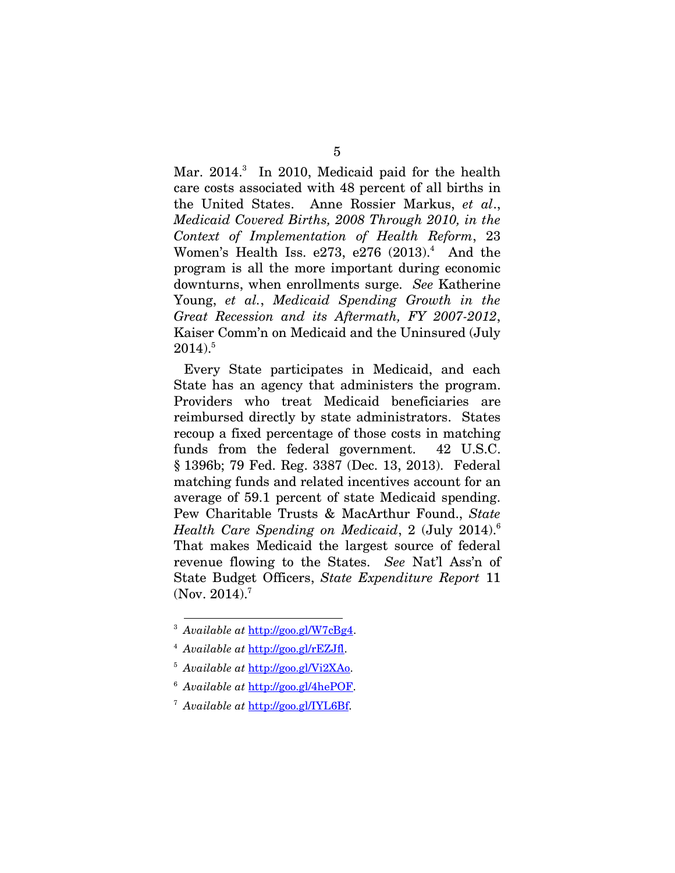Mar. 2014.<sup>[3](#page-11-0)</sup> In 2010, Medicaid paid for the health care costs associated with 48 percent of all births in the United States. Anne Rossier Markus, *et al*., *Medicaid Covered Births, 2008 Through 2010, in the Context of Implementation of Health Reform*, 23 Women's Health Iss. e273, e276  $(2013)^4$  $(2013)^4$  And the program is all the more important during economic downturns, when enrollments surge. *See* Katherine Young, *et al.*, *Medicaid Spending Growth in the Great Recession and its Aftermath, FY 2007-2012*, Kaiser Comm'n on Medicaid and the Uninsured (July  $2014$ ).<sup>[5](#page-11-2)</sup>

Every State participates in Medicaid, and each State has an agency that administers the program. Providers who treat Medicaid beneficiaries are reimbursed directly by state administrators. States recoup a fixed percentage of those costs in matching funds from the federal government. 42 U.S.C. § 1396b; 79 Fed. Reg. 3387 (Dec. 13, 2013). Federal matching funds and related incentives account for an average of 59.1 percent of state Medicaid spending. Pew Charitable Trusts & MacArthur Found., *State Health Care Spending on Medicaid*, 2 (July 2014).[6](#page-11-3) That makes Medicaid the largest source of federal revenue flowing to the States. *See* Nat'l Ass'n of State Budget Officers, *State Expenditure Report* 11 (Nov. 2014).<sup>[7](#page-11-4)</sup>

<span id="page-11-0"></span><sup>3</sup> *Available at* http://goo.gl/W7cBg4.

<span id="page-11-1"></span><sup>4</sup> *Available at* http://goo.gl/rEZJfl.

<span id="page-11-2"></span><sup>5</sup> *Available at* http://goo.gl/Vi2XAo.

<span id="page-11-3"></span><sup>6</sup> *Available at* http://goo.gl/4hePOF.

<span id="page-11-4"></span><sup>7</sup> *Available at* http://goo.gl/IYL6Bf.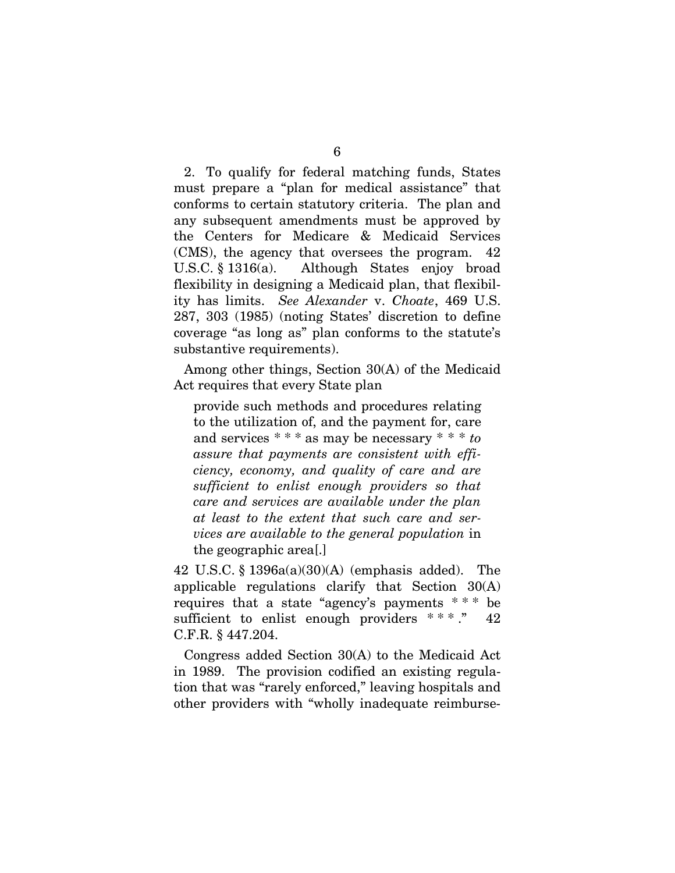2. To qualify for federal matching funds, States must prepare a "plan for medical assistance" that conforms to certain statutory criteria. The plan and any subsequent amendments must be approved by the Centers for Medicare & Medicaid Services (CMS), the agency that oversees the program. 42 U.S.C. § 1316(a). Although States enjoy broad flexibility in designing a Medicaid plan, that flexibility has limits. *See Alexander* v. *Choate*, 469 U.S. 287, 303 (1985) (noting States' discretion to define coverage "as long as" plan conforms to the statute's substantive requirements).

Among other things, Section 30(A) of the Medicaid Act requires that every State plan

provide such methods and procedures relating to the utilization of, and the payment for, care and services \* \* \* as may be necessary \* \* \* *to assure that payments are consistent with efficiency, economy, and quality of care and are sufficient to enlist enough providers so that care and services are available under the plan at least to the extent that such care and services are available to the general population* in the geographic area[.]

42 U.S.C. § 1396a(a)(30)(A) (emphasis added). The applicable regulations clarify that Section 30(A) requires that a state "agency's payments  $***$  be sufficient to enlist enough providers  $***$ ." 42 C.F.R. § 447.204.

Congress added Section 30(A) to the Medicaid Act in 1989. The provision codified an existing regulation that was "rarely enforced," leaving hospitals and other providers with "wholly inadequate reimburse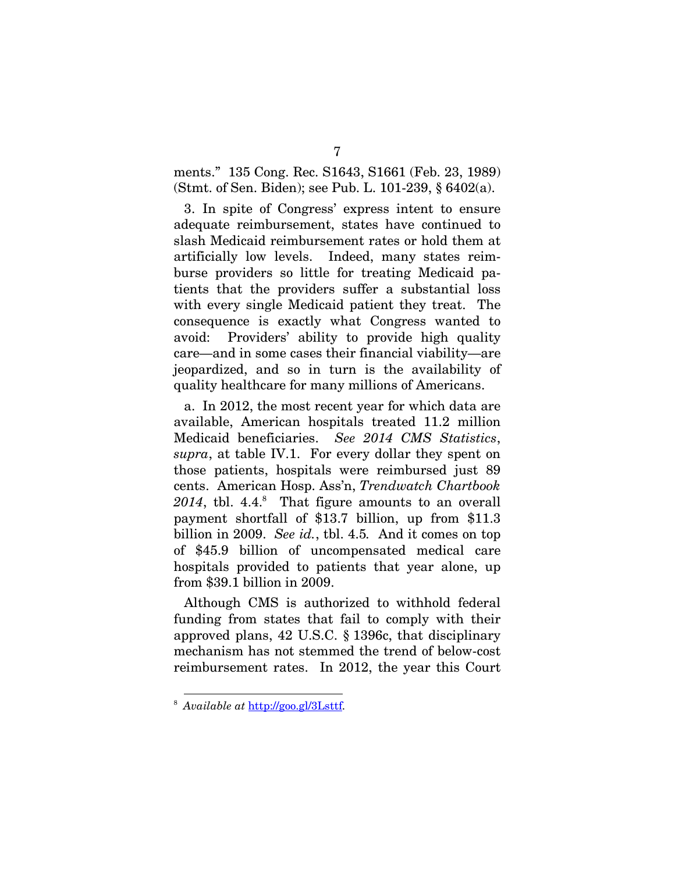ments." 135 Cong. Rec. S1643, S1661 (Feb. 23, 1989) (Stmt. of Sen. Biden); see Pub. L. 101-239, § 6402(a).

3. In spite of Congress' express intent to ensure adequate reimbursement, states have continued to slash Medicaid reimbursement rates or hold them at artificially low levels. Indeed, many states reimburse providers so little for treating Medicaid patients that the providers suffer a substantial loss with every single Medicaid patient they treat. The consequence is exactly what Congress wanted to avoid: Providers' ability to provide high quality care—and in some cases their financial viability—are jeopardized, and so in turn is the availability of quality healthcare for many millions of Americans.

a. In 2012, the most recent year for which data are available, American hospitals treated 11.2 million Medicaid beneficiaries. *See 2014 CMS Statistics*, *supra*, at table IV.1. For every dollar they spent on those patients, hospitals were reimbursed just 89 cents. American Hosp. Ass'n, *Trendwatch Chartbook*  $2014$ , tbl.  $4.4<sup>8</sup>$  $4.4<sup>8</sup>$  $4.4<sup>8</sup>$  That figure amounts to an overall payment shortfall of \$13.7 billion, up from \$11.3 billion in 2009. *See id.*, tbl. 4.5*.* And it comes on top of \$45.9 billion of uncompensated medical care hospitals provided to patients that year alone, up from \$39.1 billion in 2009.

Although CMS is authorized to withhold federal funding from states that fail to comply with their approved plans, 42 U.S.C. § 1396c, that disciplinary mechanism has not stemmed the trend of below-cost reimbursement rates. In 2012, the year this Court

<span id="page-13-0"></span><sup>8</sup> *Available at* http://goo.gl/3Lsttf.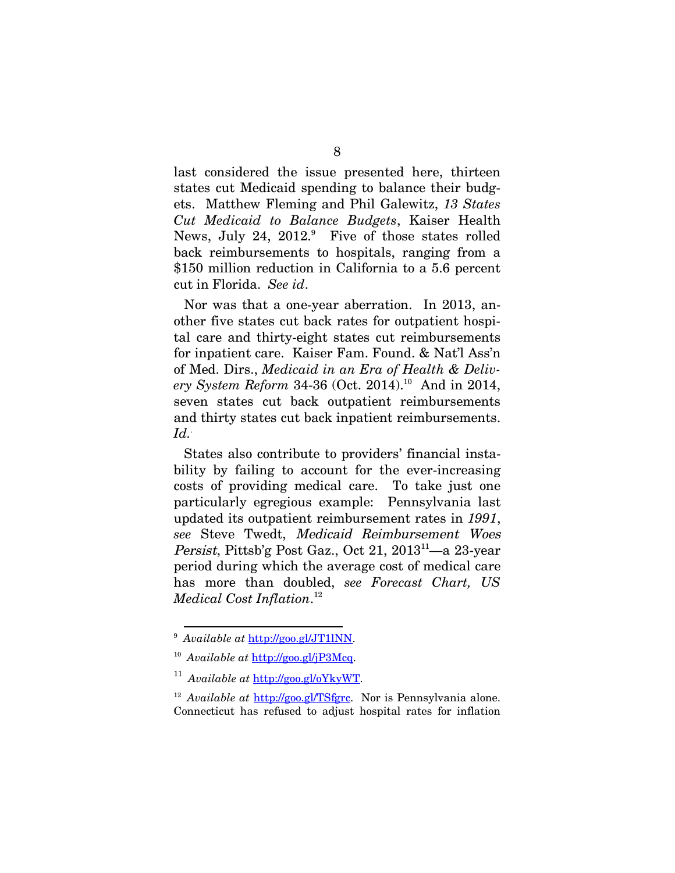last considered the issue presented here, thirteen states cut Medicaid spending to balance their budgets. Matthew Fleming and Phil Galewitz, *13 States Cut Medicaid to Balance Budgets*, Kaiser Health News, July 24,  $2012$ . Five of those states rolled back reimbursements to hospitals, ranging from a \$150 million reduction in California to a 5.6 percent cut in Florida. *See id*.

Nor was that a one-year aberration. In 2013, another five states cut back rates for outpatient hospital care and thirty-eight states cut reimbursements for inpatient care. Kaiser Fam. Found. & Nat'l Ass'n of Med. Dirs., *Medicaid in an Era of Health & Deliv-*ery System Reform 34-36 (Oct. 2014).<sup>[10](#page-14-1)</sup> And in 2014, seven states cut back outpatient reimbursements and thirty states cut back inpatient reimbursements. *Id..*

States also contribute to providers' financial instability by failing to account for the ever-increasing costs of providing medical care. To take just one particularly egregious example: Pennsylvania last updated its outpatient reimbursement rates in *1991*, *see* Steve Twedt, Medicaid Reimbursement Woes Persist, Pittsb'g Post Gaz., Oct 21, 2013<sup>[11](#page-14-2)</sup>—a 23-year period during which the average cost of medical care has more than doubled, *see Forecast Chart, US Medical Cost Inflation*. [12](#page-14-3)

<span id="page-14-0"></span><sup>9</sup> *Available at* http://goo.gl/JT1lNN.

<span id="page-14-1"></span><sup>10</sup> *Available at* http://goo.gl/jP3Mcq.

<span id="page-14-2"></span><sup>11</sup> *Available at* http://goo.gl/oYkyWT.

<span id="page-14-3"></span><sup>12</sup> *Available at* http://goo.gl/TSfgrc. Nor is Pennsylvania alone. Connecticut has refused to adjust hospital rates for inflation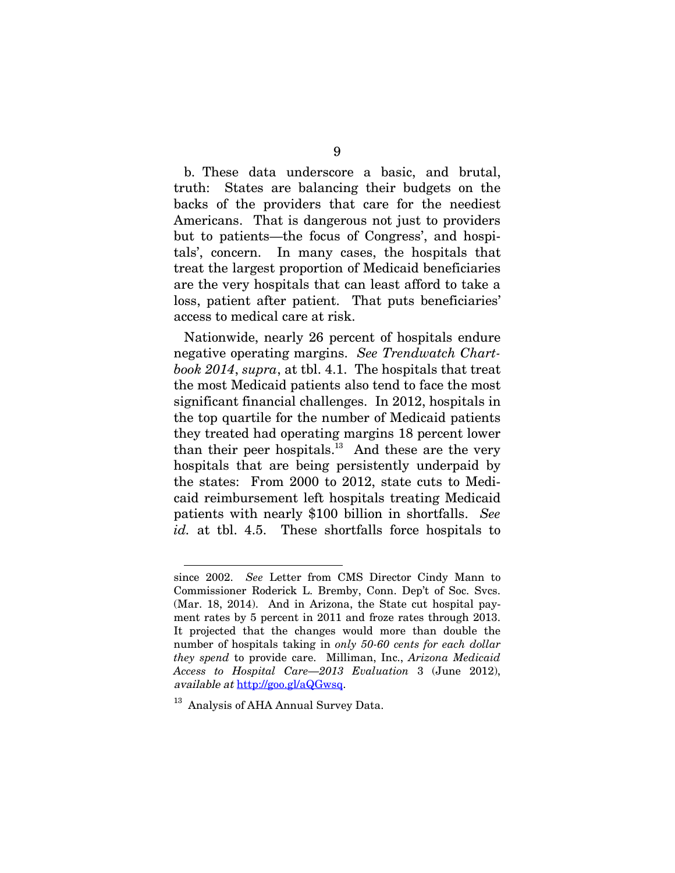b. These data underscore a basic, and brutal, truth: States are balancing their budgets on the backs of the providers that care for the neediest Americans. That is dangerous not just to providers but to patients—the focus of Congress', and hospitals', concern. In many cases, the hospitals that treat the largest proportion of Medicaid beneficiaries are the very hospitals that can least afford to take a loss, patient after patient. That puts beneficiaries' access to medical care at risk.

Nationwide, nearly 26 percent of hospitals endure negative operating margins. *See Trendwatch Chartbook 2014*, *supra*, at tbl. 4.1. The hospitals that treat the most Medicaid patients also tend to face the most significant financial challenges. In 2012, hospitals in the top quartile for the number of Medicaid patients they treated had operating margins 18 percent lower than their peer hospitals.<sup>[13](#page-15-0)</sup> And these are the very hospitals that are being persistently underpaid by the states: From 2000 to 2012, state cuts to Medicaid reimbursement left hospitals treating Medicaid patients with nearly \$100 billion in shortfalls. *See id.* at tbl. 4.5. These shortfalls force hospitals to

since 2002. *See* Letter from CMS Director Cindy Mann to Commissioner Roderick L. Bremby, Conn. Dep't of Soc. Svcs. (Mar. 18, 2014). And in Arizona, the State cut hospital payment rates by 5 percent in 2011 and froze rates through 2013. It projected that the changes would more than double the number of hospitals taking in *only 50-60 cents for each dollar they spend* to provide care. Milliman, Inc., *Arizona Medicaid Access to Hospital Care—2013 Evaluation* 3 (June 2012), available at http://goo.gl/aQGwsq.

<span id="page-15-0"></span><sup>&</sup>lt;sup>13</sup> Analysis of AHA Annual Survey Data.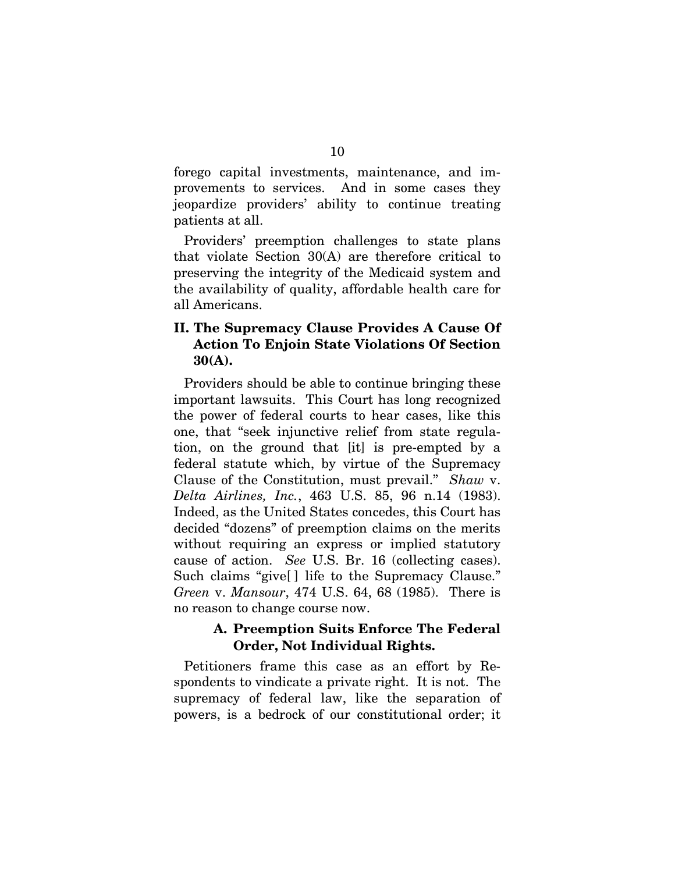forego capital investments, maintenance, and improvements to services. And in some cases they jeopardize providers' ability to continue treating patients at all.

Providers' preemption challenges to state plans that violate Section 30(A) are therefore critical to preserving the integrity of the Medicaid system and the availability of quality, affordable health care for all Americans.

## **II. The Supremacy Clause Provides A Cause Of Action To Enjoin State Violations Of Section 30(A).**

Providers should be able to continue bringing these important lawsuits. This Court has long recognized the power of federal courts to hear cases, like this one, that "seek injunctive relief from state regulation, on the ground that [it] is pre-empted by a federal statute which, by virtue of the Supremacy Clause of the Constitution, must prevail." *Shaw* v. *Delta Airlines, Inc.*, 463 U.S. 85, 96 n.14 (1983). Indeed, as the United States concedes, this Court has decided "dozens" of preemption claims on the merits without requiring an express or implied statutory cause of action. *See* U.S. Br. 16 (collecting cases). Such claims "give[ ] life to the Supremacy Clause." *Green* v. *Mansour*, 474 U.S. 64, 68 (1985). There is no reason to change course now.

## **A. Preemption Suits Enforce The Federal Order, Not Individual Rights.**

Petitioners frame this case as an effort by Respondents to vindicate a private right. It is not. The supremacy of federal law, like the separation of powers, is a bedrock of our constitutional order; it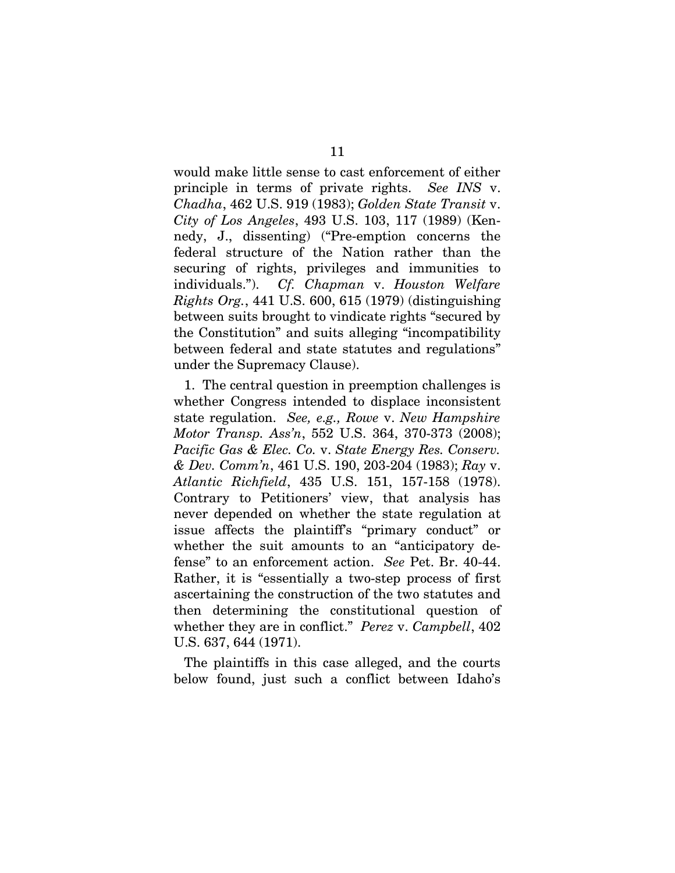would make little sense to cast enforcement of either principle in terms of private rights. *See INS* v. *Chadha*, 462 U.S. 919 (1983); *Golden State Transit* v. *City of Los Angeles*, 493 U.S. 103, 117 (1989) (Kennedy, J., dissenting) ("Pre-emption concerns the federal structure of the Nation rather than the securing of rights, privileges and immunities to individuals."). *Cf. Chapman* v. *Houston Welfare Rights Org.*, 441 U.S. 600, 615 (1979) (distinguishing between suits brought to vindicate rights "secured by the Constitution" and suits alleging "incompatibility between federal and state statutes and regulations" under the Supremacy Clause).

1. The central question in preemption challenges is whether Congress intended to displace inconsistent state regulation. *See, e.g., Rowe* v. *New Hampshire Motor Transp. Ass'n*, 552 U.S. 364, 370-373 (2008); *Pacific Gas & Elec. Co.* v. *State Energy Res. Conserv. & Dev. Comm'n*, 461 U.S. 190, 203-204 (1983); *Ray* v. *Atlantic Richfield*, 435 U.S. 151, 157-158 (1978). Contrary to Petitioners' view, that analysis has never depended on whether the state regulation at issue affects the plaintiff's "primary conduct" or whether the suit amounts to an "anticipatory defense" to an enforcement action. *See* Pet. Br. 40-44. Rather, it is "essentially a two-step process of first ascertaining the construction of the two statutes and then determining the constitutional question of whether they are in conflict." *Perez* v. *Campbell*, 402 U.S. 637, 644 (1971).

The plaintiffs in this case alleged, and the courts below found, just such a conflict between Idaho's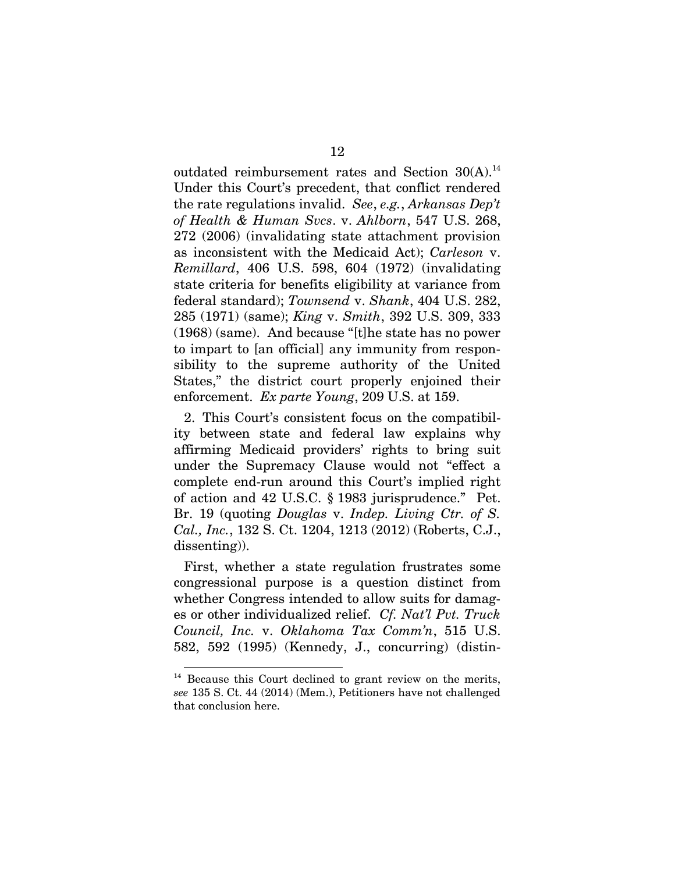outdated reimbursement rates and Section  $30(A).$ <sup>[14](#page-18-0)</sup> Under this Court's precedent, that conflict rendered the rate regulations invalid. *See*, *e.g.*, *Arkansas Dep't of Health & Human Svcs*. v. *Ahlborn*, 547 U.S. 268, 272 (2006) (invalidating state attachment provision as inconsistent with the Medicaid Act); *Carleson* v. *Remillard*, 406 U.S. 598, 604 (1972) (invalidating state criteria for benefits eligibility at variance from federal standard); *Townsend* v. *Shank*, 404 U.S. 282, 285 (1971) (same); *King* v. *Smith*, 392 U.S. 309, 333 (1968) (same). And because "[t]he state has no power to impart to [an official] any immunity from responsibility to the supreme authority of the United States," the district court properly enjoined their enforcement. *Ex parte Young*, 209 U.S. at 159.

2. This Court's consistent focus on the compatibility between state and federal law explains why affirming Medicaid providers' rights to bring suit under the Supremacy Clause would not "effect a complete end-run around this Court's implied right of action and 42 U.S.C. § 1983 jurisprudence." Pet. Br. 19 (quoting *Douglas* v. *Indep. Living Ctr. of S. Cal., Inc.*, 132 S. Ct. 1204, 1213 (2012) (Roberts, C.J., dissenting)).

First, whether a state regulation frustrates some congressional purpose is a question distinct from whether Congress intended to allow suits for damages or other individualized relief. *Cf. Nat'l Pvt. Truck Council, Inc.* v. *Oklahoma Tax Comm'n*, 515 U.S. 582, 592 (1995) (Kennedy, J., concurring) (distin-

<span id="page-18-0"></span><sup>&</sup>lt;sup>14</sup> Because this Court declined to grant review on the merits, *see* 135 S. Ct. 44 (2014) (Mem.), Petitioners have not challenged that conclusion here.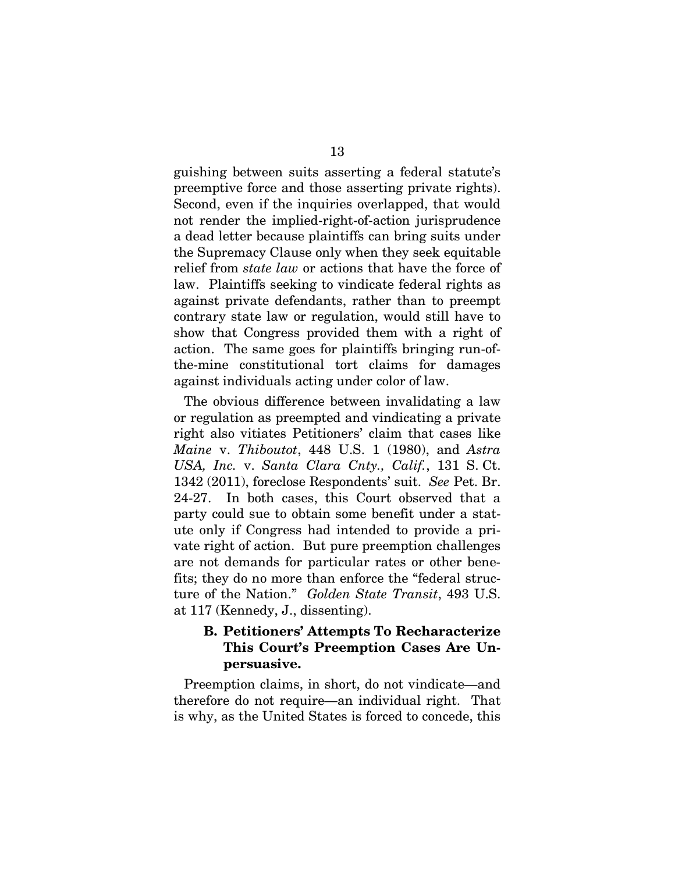guishing between suits asserting a federal statute's preemptive force and those asserting private rights). Second, even if the inquiries overlapped, that would not render the implied-right-of-action jurisprudence a dead letter because plaintiffs can bring suits under the Supremacy Clause only when they seek equitable relief from *state law* or actions that have the force of law. Plaintiffs seeking to vindicate federal rights as against private defendants, rather than to preempt contrary state law or regulation, would still have to show that Congress provided them with a right of action. The same goes for plaintiffs bringing run-ofthe-mine constitutional tort claims for damages against individuals acting under color of law.

The obvious difference between invalidating a law or regulation as preempted and vindicating a private right also vitiates Petitioners' claim that cases like *Maine* v. *Thiboutot*, 448 U.S. 1 (1980), and *Astra USA, Inc.* v. *Santa Clara Cnty., Calif.*, 131 S. Ct. 1342 (2011), foreclose Respondents' suit. *See* Pet. Br. 24-27. In both cases, this Court observed that a party could sue to obtain some benefit under a statute only if Congress had intended to provide a private right of action. But pure preemption challenges are not demands for particular rates or other benefits; they do no more than enforce the "federal structure of the Nation." *Golden State Transit*, 493 U.S. at 117 (Kennedy, J., dissenting).

## **B. Petitioners' Attempts To Recharacterize This Court's Preemption Cases Are Unpersuasive.**

Preemption claims, in short, do not vindicate—and therefore do not require—an individual right. That is why, as the United States is forced to concede, this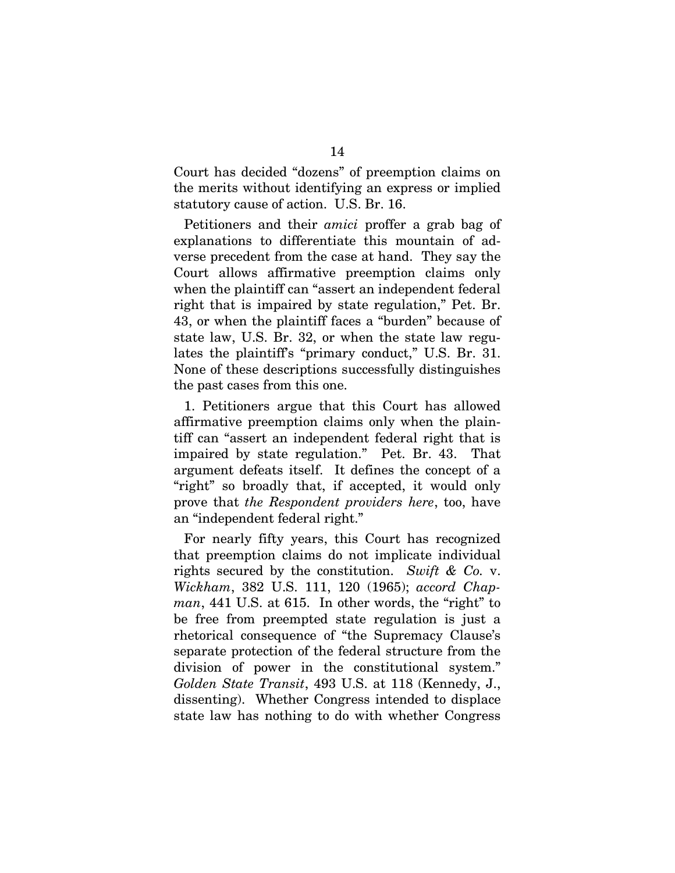Court has decided "dozens" of preemption claims on the merits without identifying an express or implied statutory cause of action. U.S. Br. 16.

Petitioners and their *amici* proffer a grab bag of explanations to differentiate this mountain of adverse precedent from the case at hand. They say the Court allows affirmative preemption claims only when the plaintiff can "assert an independent federal right that is impaired by state regulation," Pet. Br. 43, or when the plaintiff faces a "burden" because of state law, U.S. Br. 32, or when the state law regulates the plaintiff's "primary conduct," U.S. Br. 31. None of these descriptions successfully distinguishes the past cases from this one.

1. Petitioners argue that this Court has allowed affirmative preemption claims only when the plaintiff can "assert an independent federal right that is impaired by state regulation." Pet. Br. 43. That argument defeats itself. It defines the concept of a "right" so broadly that, if accepted, it would only prove that *the Respondent providers here*, too, have an "independent federal right."

For nearly fifty years, this Court has recognized that preemption claims do not implicate individual rights secured by the constitution. *Swift & Co.* v. *Wickham*, 382 U.S. 111, 120 (1965); *accord Chapman*, 441 U.S. at 615. In other words, the "right" to be free from preempted state regulation is just a rhetorical consequence of "the Supremacy Clause's separate protection of the federal structure from the division of power in the constitutional system." *Golden State Transit*, 493 U.S. at 118 (Kennedy, J., dissenting). Whether Congress intended to displace state law has nothing to do with whether Congress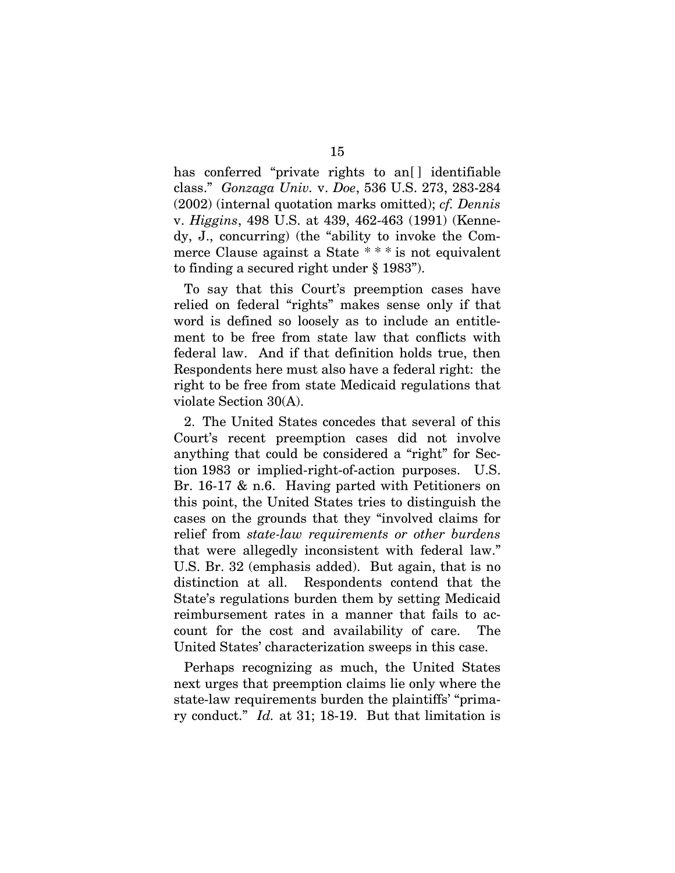has conferred "private rights to an<sup>[]</sup> identifiable class." *Gonzaga Univ.* v. *Doe*, 536 U.S. 273, 283-284 (2002) (internal quotation marks omitted); *cf. Dennis* v. *Higgins*, 498 U.S. at 439, 462-463 (1991) (Kennedy, J., concurring) (the "ability to invoke the Commerce Clause against a State \* \* \* is not equivalent to finding a secured right under § 1983").

To say that this Court's preemption cases have relied on federal "rights" makes sense only if that word is defined so loosely as to include an entitlement to be free from state law that conflicts with federal law. And if that definition holds true, then Respondents here must also have a federal right: the right to be free from state Medicaid regulations that violate Section 30(A).

2. The United States concedes that several of this Court's recent preemption cases did not involve anything that could be considered a "right" for Section 1983 or implied-right-of-action purposes. U.S. Br. 16-17 & n.6. Having parted with Petitioners on this point, the United States tries to distinguish the cases on the grounds that they "involved claims for relief from *state-law requirements or other burdens* that were allegedly inconsistent with federal law." U.S. Br. 32 (emphasis added). But again, that is no distinction at all. Respondents contend that the State's regulations burden them by setting Medicaid reimbursement rates in a manner that fails to account for the cost and availability of care. The United States' characterization sweeps in this case.

Perhaps recognizing as much, the United States next urges that preemption claims lie only where the state-law requirements burden the plaintiffs' "primary conduct." *Id.* at 31; 18-19. But that limitation is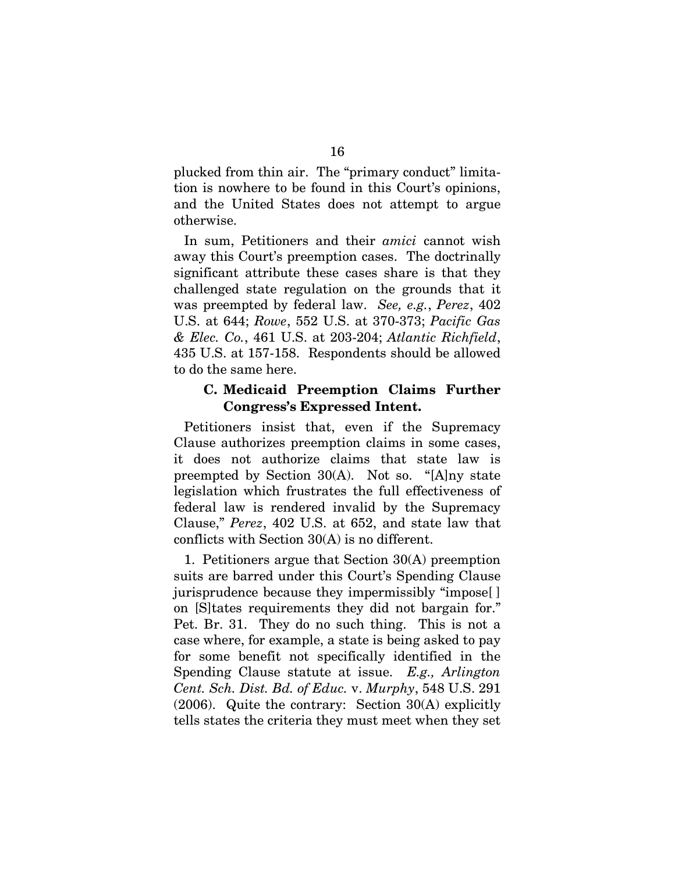plucked from thin air. The "primary conduct" limitation is nowhere to be found in this Court's opinions, and the United States does not attempt to argue otherwise.

In sum, Petitioners and their *amici* cannot wish away this Court's preemption cases. The doctrinally significant attribute these cases share is that they challenged state regulation on the grounds that it was preempted by federal law. *See, e.g.*, *Perez*, 402 U.S. at 644; *Rowe*, 552 U.S. at 370-373; *Pacific Gas & Elec. Co.*, 461 U.S. at 203-204; *Atlantic Richfield*, 435 U.S. at 157-158. Respondents should be allowed to do the same here.

### **C. Medicaid Preemption Claims Further Congress's Expressed Intent.**

Petitioners insist that, even if the Supremacy Clause authorizes preemption claims in some cases, it does not authorize claims that state law is preempted by Section 30(A). Not so. "[A]ny state legislation which frustrates the full effectiveness of federal law is rendered invalid by the Supremacy Clause," *Perez*, 402 U.S. at 652, and state law that conflicts with Section 30(A) is no different.

1. Petitioners argue that Section 30(A) preemption suits are barred under this Court's Spending Clause jurisprudence because they impermissibly "impose[ ] on [S]tates requirements they did not bargain for." Pet. Br. 31. They do no such thing. This is not a case where, for example, a state is being asked to pay for some benefit not specifically identified in the Spending Clause statute at issue. *E.g., Arlington Cent. Sch. Dist. Bd. of Educ.* v. *Murphy*, 548 U.S. 291 (2006). Quite the contrary: Section 30(A) explicitly tells states the criteria they must meet when they set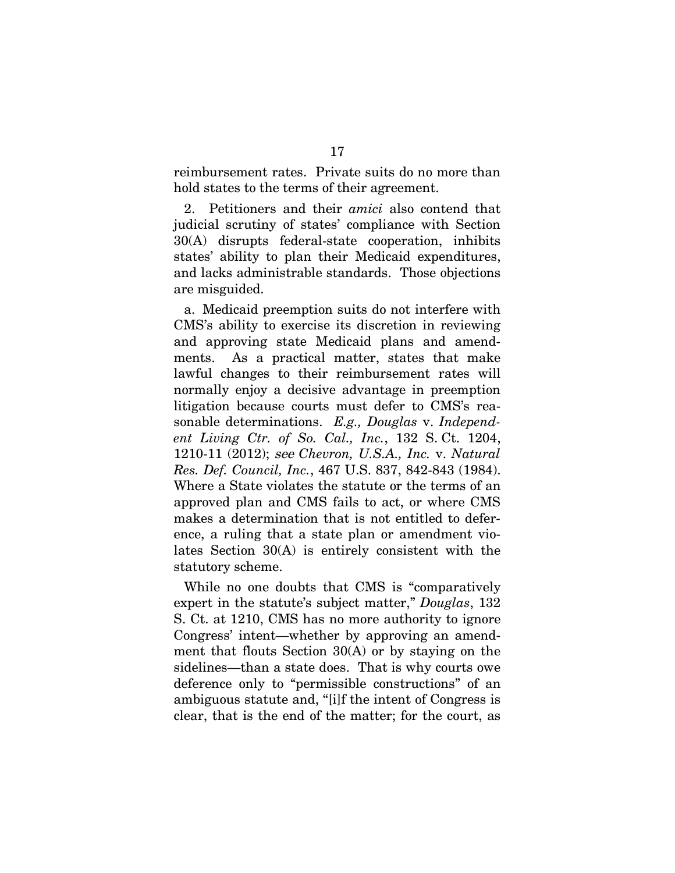reimbursement rates. Private suits do no more than hold states to the terms of their agreement.

2. Petitioners and their *amici* also contend that judicial scrutiny of states' compliance with Section 30(A) disrupts federal-state cooperation, inhibits states' ability to plan their Medicaid expenditures, and lacks administrable standards. Those objections are misguided.

a. Medicaid preemption suits do not interfere with CMS's ability to exercise its discretion in reviewing and approving state Medicaid plans and amendments. As a practical matter, states that make lawful changes to their reimbursement rates will normally enjoy a decisive advantage in preemption litigation because courts must defer to CMS's reasonable determinations. *E.g., Douglas* v. *Independent Living Ctr. of So. Cal., Inc.*, 132 S. Ct. 1204, 1210-11 (2012); see *Chevron, U.S.A., Inc.* v. *Natural Res. Def. Council, Inc.*, 467 U.S. 837, 842-843 (1984). Where a State violates the statute or the terms of an approved plan and CMS fails to act, or where CMS makes a determination that is not entitled to deference, a ruling that a state plan or amendment violates Section 30(A) is entirely consistent with the statutory scheme.

While no one doubts that CMS is "comparatively expert in the statute's subject matter," *Douglas*, 132 S. Ct. at 1210, CMS has no more authority to ignore Congress' intent—whether by approving an amendment that flouts Section 30(A) or by staying on the sidelines—than a state does. That is why courts owe deference only to "permissible constructions" of an ambiguous statute and, "[i]f the intent of Congress is clear, that is the end of the matter; for the court, as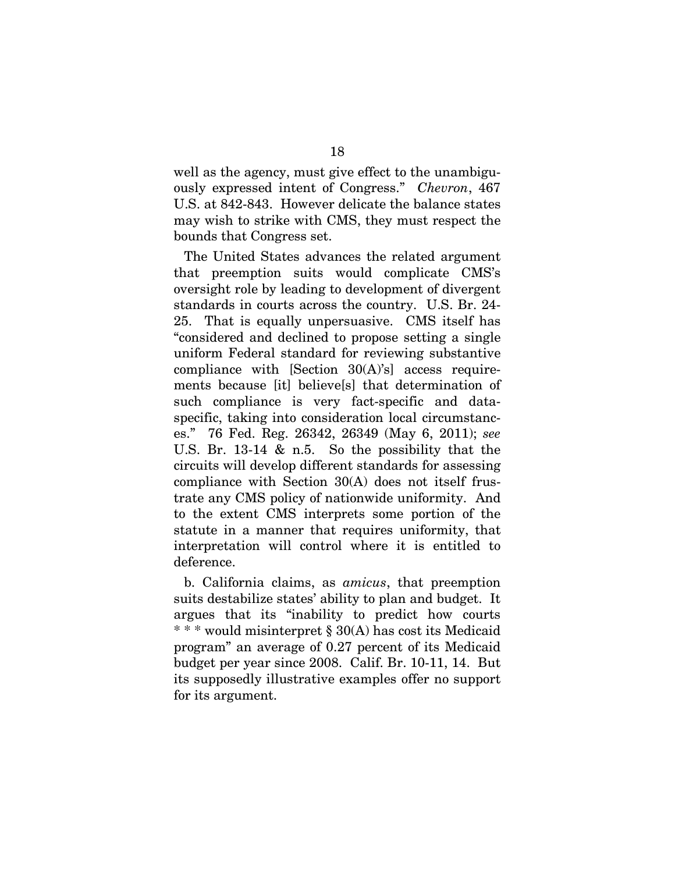well as the agency, must give effect to the unambiguously expressed intent of Congress." *Chevron*, 467 U.S. at 842-843. However delicate the balance states may wish to strike with CMS, they must respect the bounds that Congress set.

The United States advances the related argument that preemption suits would complicate CMS's oversight role by leading to development of divergent standards in courts across the country. U.S. Br. 24- 25. That is equally unpersuasive. CMS itself has "considered and declined to propose setting a single uniform Federal standard for reviewing substantive compliance with [Section 30(A)'s] access requirements because [it] believe[s] that determination of such compliance is very fact-specific and dataspecific, taking into consideration local circumstances." 76 Fed. Reg. 26342, 26349 (May 6, 2011); *see* U.S. Br. 13-14 & n.5. So the possibility that the circuits will develop different standards for assessing compliance with Section 30(A) does not itself frustrate any CMS policy of nationwide uniformity. And to the extent CMS interprets some portion of the statute in a manner that requires uniformity, that interpretation will control where it is entitled to deference.

b. California claims, as *amicus*, that preemption suits destabilize states' ability to plan and budget. It argues that its "inability to predict how courts \* \* \* would misinterpret § 30(A) has cost its Medicaid program" an average of 0.27 percent of its Medicaid budget per year since 2008. Calif. Br. 10-11, 14. But its supposedly illustrative examples offer no support for its argument.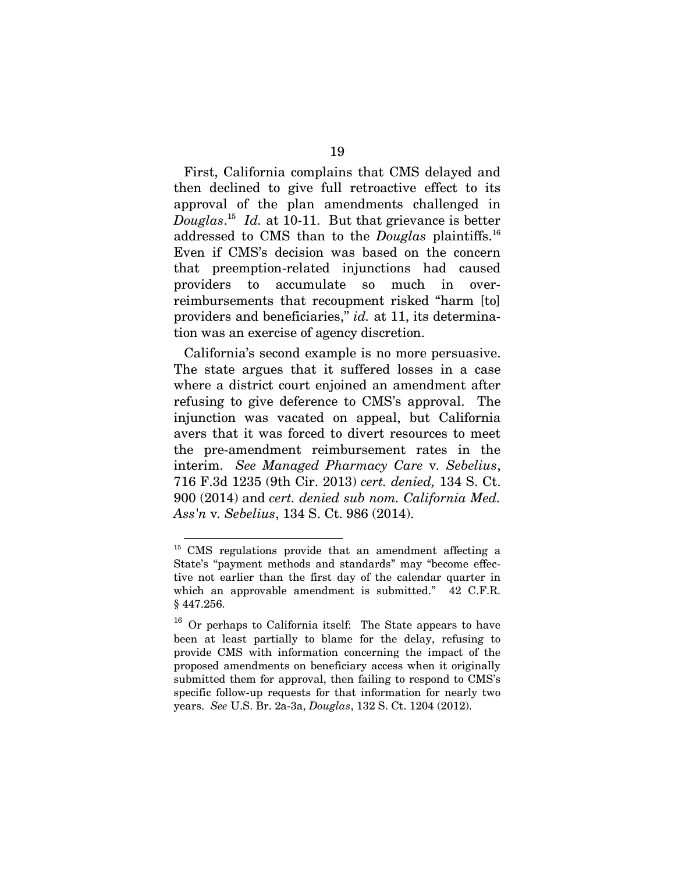First, California complains that CMS delayed and then declined to give full retroactive effect to its approval of the plan amendments challenged in *Douglas*. [15](#page-25-0) *Id.* at 10-11. But that grievance is better addressed to CMS than to the *Douglas* plaintiffs.[16](#page-25-1) Even if CMS's decision was based on the concern that preemption-related injunctions had caused providers to accumulate so much in overreimbursements that recoupment risked "harm [to] providers and beneficiaries," *id.* at 11, its determination was an exercise of agency discretion.

California's second example is no more persuasive. The state argues that it suffered losses in a case where a district court enjoined an amendment after refusing to give deference to CMS's approval. The injunction was vacated on appeal, but California avers that it was forced to divert resources to meet the pre-amendment reimbursement rates in the interim. *See Managed Pharmacy Care* v*. Sebelius*, 716 F.3d 1235 (9th Cir. 2013) *cert. denied,* 134 S. Ct. 900 (2014) and *cert. denied sub nom. California Med. Ass'n* v*. Sebelius*, 134 S. Ct. 986 (2014).

<span id="page-25-0"></span><sup>&</sup>lt;sup>15</sup> CMS regulations provide that an amendment affecting a State's "payment methods and standards" may "become effective not earlier than the first day of the calendar quarter in which an approvable amendment is submitted." 42 C.F.R. § 447.256.

<span id="page-25-1"></span><sup>16</sup> Or perhaps to California itself: The State appears to have been at least partially to blame for the delay, refusing to provide CMS with information concerning the impact of the proposed amendments on beneficiary access when it originally submitted them for approval, then failing to respond to CMS's specific follow-up requests for that information for nearly two years. *See* U.S. Br. 2a-3a, *Douglas*, 132 S. Ct. 1204 (2012).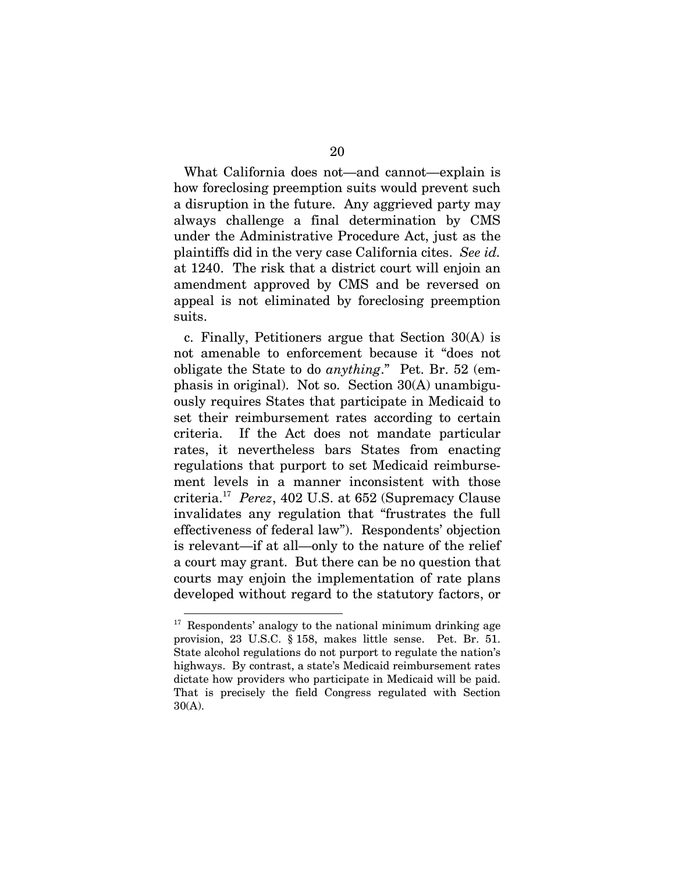What California does not—and cannot—explain is how foreclosing preemption suits would prevent such a disruption in the future. Any aggrieved party may always challenge a final determination by CMS under the Administrative Procedure Act, just as the plaintiffs did in the very case California cites. *See id.* at 1240. The risk that a district court will enjoin an amendment approved by CMS and be reversed on appeal is not eliminated by foreclosing preemption suits.

c. Finally, Petitioners argue that Section 30(A) is not amenable to enforcement because it "does not obligate the State to do *anything*." Pet. Br. 52 (emphasis in original). Not so. Section 30(A) unambiguously requires States that participate in Medicaid to set their reimbursement rates according to certain criteria. If the Act does not mandate particular rates, it nevertheless bars States from enacting regulations that purport to set Medicaid reimbursement levels in a manner inconsistent with those criteria.[17](#page-26-0) *Perez*, 402 U.S. at 652 (Supremacy Clause invalidates any regulation that "frustrates the full effectiveness of federal law"). Respondents' objection is relevant—if at all—only to the nature of the relief a court may grant. But there can be no question that courts may enjoin the implementation of rate plans developed without regard to the statutory factors, or

<span id="page-26-0"></span> $17$  Respondents' analogy to the national minimum drinking age provision, 23 U.S.C. § 158, makes little sense. Pet. Br. 51. State alcohol regulations do not purport to regulate the nation's highways. By contrast, a state's Medicaid reimbursement rates dictate how providers who participate in Medicaid will be paid. That is precisely the field Congress regulated with Section 30(A).